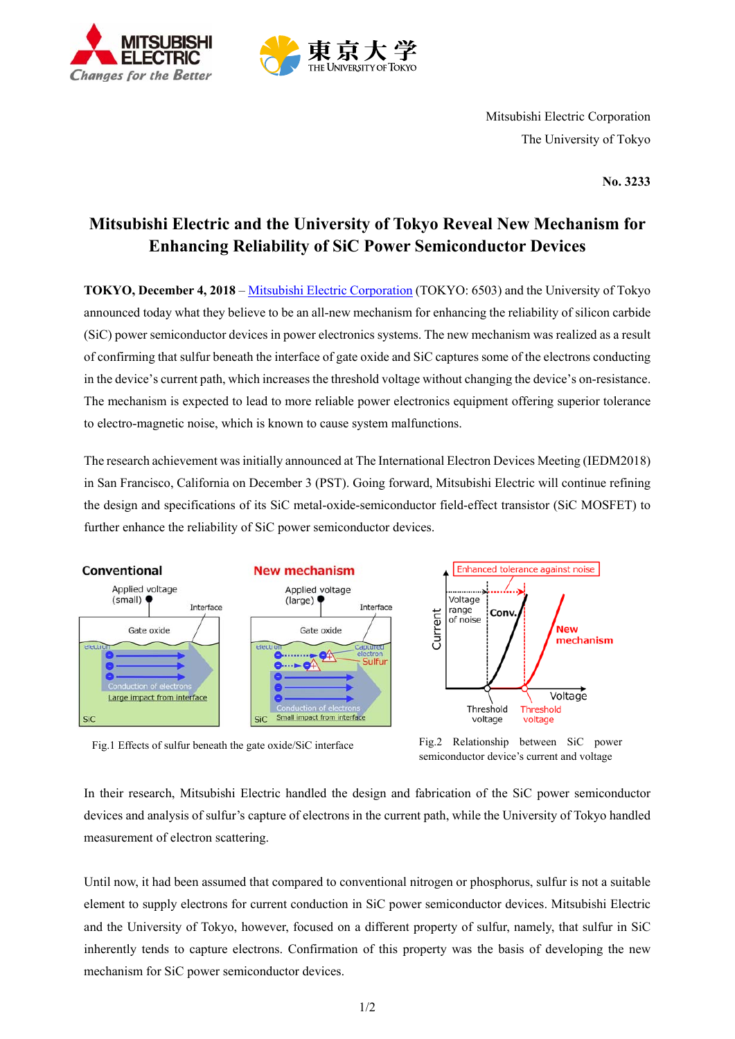



Mitsubishi Electric Corporation The University of Tokyo

**No. 3233**

# **Mitsubishi Electric and the University of Tokyo Reveal New Mechanism for Enhancing Reliability of SiC Power Semiconductor Devices**

**TOKYO, December 4, 2018** – Mitsubishi Electric Corporation (TOKYO: 6503) and the University of Tokyo announced today what they believe to be an all-new mechanism for enhancing the reliability of silicon carbide (SiC) power semiconductor devices in power electronics systems. The new mechanism was realized as a result of confirming that sulfur beneath the interface of gate oxide and SiC captures some of the electrons conducting in the device's current path, which increases the threshold voltage without changing the device's on-resistance. The mechanism is expected to lead to more reliable power electronics equipment offering superior tolerance to electro-magnetic noise, which is known to cause system malfunctions.

The research achievement was initially announced at The International Electron Devices Meeting (IEDM2018) in San Francisco, California on December 3 (PST). Going forward, Mitsubishi Electric will continue refining the design and specifications of its SiC metal-oxide-semiconductor field-effect transistor (SiC MOSFET) to further enhance the reliability of SiC power semiconductor devices.



Fig.1 Effects of sulfur beneath the gate oxide/SiC interface Fig.2 Relationship between SiC power



In their research, Mitsubishi Electric handled the design and fabrication of the SiC power semiconductor devices and analysis of sulfur's capture of electrons in the current path, while the University of Tokyo handled measurement of electron scattering.

Until now, it had been assumed that compared to conventional nitrogen or phosphorus, sulfur is not a suitable element to supply electrons for current conduction in SiC power semiconductor devices. Mitsubishi Electric and the University of Tokyo, however, focused on a different property of sulfur, namely, that sulfur in SiC inherently tends to capture electrons. Confirmation of this property was the basis of developing the new mechanism for SiC power semiconductor devices.